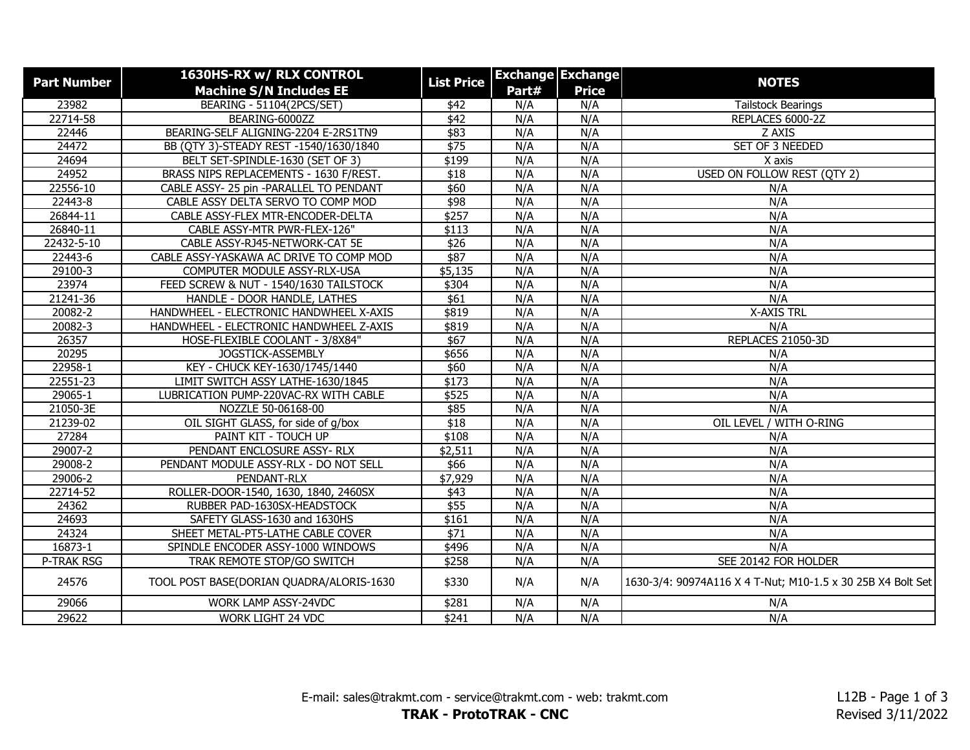| <b>Part Number</b> | 1630HS-RX w/ RLX CONTROL<br><b>Machine S/N Includes EE</b> | <b>List Price</b> |       | <b>Exchange Exchange</b><br><b>Price</b> | <b>NOTES</b>                                                |
|--------------------|------------------------------------------------------------|-------------------|-------|------------------------------------------|-------------------------------------------------------------|
|                    |                                                            |                   | Part# |                                          |                                                             |
| 23982              | <b>BEARING - 51104(2PCS/SET)</b>                           | \$42              | N/A   | N/A                                      | <b>Tailstock Bearings</b>                                   |
| 22714-58           | BEARING-6000ZZ                                             | $\overline{$42}$  | N/A   | N/A                                      | REPLACES 6000-2Z                                            |
| 22446              | BEARING-SELF ALIGNING-2204 E-2RS1TN9                       | \$83              | N/A   | N/A                                      | Z AXIS                                                      |
| 24472              | BB (QTY 3)-STEADY REST -1540/1630/1840                     | \$75              | N/A   | N/A                                      | SET OF 3 NEEDED                                             |
| 24694              | BELT SET-SPINDLE-1630 (SET OF 3)                           | \$199             | N/A   | N/A                                      | X axis                                                      |
| 24952              | BRASS NIPS REPLACEMENTS - 1630 F/REST.                     | \$18              | N/A   | N/A                                      | USED ON FOLLOW REST (QTY 2)                                 |
| 22556-10           | CABLE ASSY- 25 pin -PARALLEL TO PENDANT                    | \$60              | N/A   | N/A                                      | N/A                                                         |
| 22443-8            | CABLE ASSY DELTA SERVO TO COMP MOD                         | \$98              | N/A   | N/A                                      | N/A                                                         |
| 26844-11           | CABLE ASSY-FLEX MTR-ENCODER-DELTA                          | \$257             | N/A   | N/A                                      | N/A                                                         |
| 26840-11           | CABLE ASSY-MTR PWR-FLEX-126"                               | \$113             | N/A   | N/A                                      | N/A                                                         |
| 22432-5-10         | CABLE ASSY-RJ45-NETWORK-CAT 5E                             | $\sqrt{$26}$      | N/A   | N/A                                      | N/A                                                         |
| 22443-6            | CABLE ASSY-YASKAWA AC DRIVE TO COMP MOD                    | \$87              | N/A   | N/A                                      | N/A                                                         |
| 29100-3            | COMPUTER MODULE ASSY-RLX-USA                               | \$5,135           | N/A   | N/A                                      | N/A                                                         |
| 23974              | FEED SCREW & NUT - 1540/1630 TAILSTOCK                     | \$304             | N/A   | N/A                                      | N/A                                                         |
| 21241-36           | HANDLE - DOOR HANDLE, LATHES                               | \$61              | N/A   | N/A                                      | N/A                                                         |
| 20082-2            | HANDWHEEL - ELECTRONIC HANDWHEEL X-AXIS                    | \$819             | N/A   | N/A                                      | <b>X-AXIS TRL</b>                                           |
| 20082-3            | HANDWHEEL - ELECTRONIC HANDWHEEL Z-AXIS                    | \$819             | N/A   | N/A                                      | N/A                                                         |
| 26357              | HOSE-FLEXIBLE COOLANT - 3/8X84"                            | \$67              | N/A   | N/A                                      | REPLACES 21050-3D                                           |
| 20295              | JOGSTICK-ASSEMBLY                                          | \$656             | N/A   | N/A                                      | N/A                                                         |
| 22958-1            | KEY - CHUCK KEY-1630/1745/1440                             | \$60              | N/A   | N/A                                      | N/A                                                         |
| 22551-23           | LIMIT SWITCH ASSY LATHE-1630/1845                          | \$173             | N/A   | N/A                                      | N/A                                                         |
| 29065-1            | LUBRICATION PUMP-220VAC-RX WITH CABLE                      | \$525             | N/A   | N/A                                      | N/A                                                         |
| 21050-3E           | NOZZLE 50-06168-00                                         | \$85              | N/A   | N/A                                      | N/A                                                         |
| 21239-02           | OIL SIGHT GLASS, for side of g/box                         | \$18              | N/A   | N/A                                      | OIL LEVEL / WITH O-RING                                     |
| 27284              | PAINT KIT - TOUCH UP                                       | \$108             | N/A   | N/A                                      | N/A                                                         |
| 29007-2            | PENDANT ENCLOSURE ASSY-RLX                                 | \$2,511           | N/A   | N/A                                      | N/A                                                         |
| 29008-2            | PENDANT MODULE ASSY-RLX - DO NOT SELL                      | \$66              | N/A   | N/A                                      | N/A                                                         |
| 29006-2            | PENDANT-RLX                                                | \$7,929           | N/A   | N/A                                      | N/A                                                         |
| 22714-52           | ROLLER-DOOR-1540, 1630, 1840, 2460SX                       | \$43              | N/A   | N/A                                      | N/A                                                         |
| 24362              | RUBBER PAD-1630SX-HEADSTOCK                                | \$55              | N/A   | N/A                                      | N/A                                                         |
| 24693              | SAFETY GLASS-1630 and 1630HS                               | \$161             | N/A   | N/A                                      | N/A                                                         |
| 24324              | SHEET METAL-PT5-LATHE CABLE COVER                          | $\sqrt{$71}$      | N/A   | N/A                                      | N/A                                                         |
| 16873-1            | SPINDLE ENCODER ASSY-1000 WINDOWS                          | \$496             | N/A   | N/A                                      | N/A                                                         |
| P-TRAK RSG         | TRAK REMOTE STOP/GO SWITCH                                 | \$258             | N/A   | N/A                                      | SEE 20142 FOR HOLDER                                        |
| 24576              | TOOL POST BASE(DORIAN QUADRA/ALORIS-1630                   | \$330             | N/A   | N/A                                      | 1630-3/4: 90974A116 X 4 T-Nut; M10-1.5 x 30 25B X4 Bolt Set |
| 29066              | WORK LAMP ASSY-24VDC                                       | \$281             | N/A   | N/A                                      | N/A                                                         |
| 29622              | <b>WORK LIGHT 24 VDC</b>                                   | \$241             | N/A   | N/A                                      | N/A                                                         |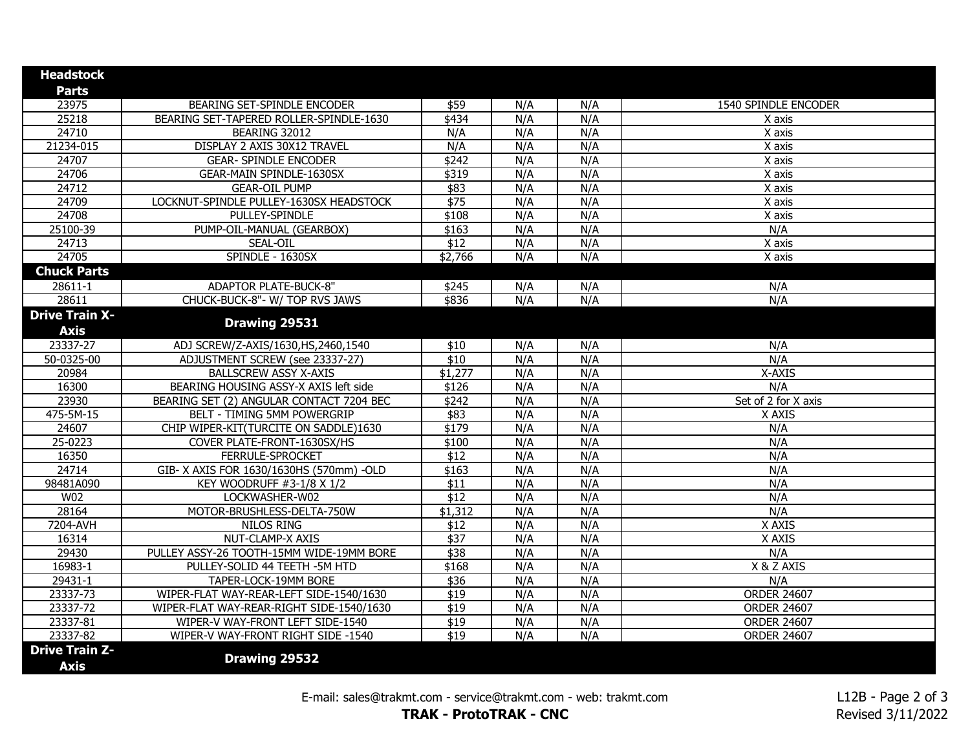| <b>Headstock</b>      |                                          |                  |     |     |                      |
|-----------------------|------------------------------------------|------------------|-----|-----|----------------------|
| <b>Parts</b>          |                                          |                  |     |     |                      |
| 23975                 | BEARING SET-SPINDLE ENCODER              | \$59             | N/A | N/A | 1540 SPINDLE ENCODER |
| 25218                 | BEARING SET-TAPERED ROLLER-SPINDLE-1630  | \$434            | N/A | N/A | X axis               |
| 24710                 | BEARING 32012                            | N/A              | N/A | N/A | X axis               |
| 21234-015             | DISPLAY 2 AXIS 30X12 TRAVEL              | N/A              | N/A | N/A | X axis               |
| 24707                 | <b>GEAR- SPINDLE ENCODER</b>             | $\sqrt{$242}$    | N/A | N/A | X axis               |
| 24706                 | <b>GEAR-MAIN SPINDLE-1630SX</b>          | \$319            | N/A | N/A | X axis               |
| 24712                 | <b>GEAR-OIL PUMP</b>                     | \$83             | N/A | N/A | X axis               |
| 24709                 | LOCKNUT-SPINDLE PULLEY-1630SX HEADSTOCK  | \$75             | N/A | N/A | X axis               |
| 24708                 | PULLEY-SPINDLE                           | \$108            | N/A | N/A | X axis               |
| 25100-39              | PUMP-OIL-MANUAL (GEARBOX)                | \$163            | N/A | N/A | N/A                  |
| 24713                 | SEAL-OIL                                 | \$12             | N/A | N/A | X axis               |
| 24705                 | SPINDLE - 1630SX                         | \$2,766          | N/A | N/A | X axis               |
| <b>Chuck Parts</b>    |                                          |                  |     |     |                      |
| 28611-1               | <b>ADAPTOR PLATE-BUCK-8"</b>             | \$245            | N/A | N/A | N/A                  |
| 28611                 | CHUCK-BUCK-8"- W/ TOP RVS JAWS           | \$836            | N/A | N/A | N/A                  |
| <b>Drive Train X-</b> |                                          |                  |     |     |                      |
| <b>Axis</b>           | Drawing 29531                            |                  |     |     |                      |
| 23337-27              | ADJ SCREW/Z-AXIS/1630, HS, 2460, 1540    | \$10             | N/A | N/A | N/A                  |
| 50-0325-00            | ADJUSTMENT SCREW (see 23337-27)          | \$10             | N/A | N/A | N/A                  |
| 20984                 | <b>BALLSCREW ASSY X-AXIS</b>             | \$1,277          | N/A | N/A | X-AXIS               |
| 16300                 | BEARING HOUSING ASSY-X AXIS left side    | \$126            | N/A | N/A | N/A                  |
| 23930                 | BEARING SET (2) ANGULAR CONTACT 7204 BEC | \$242            | N/A | N/A | Set of 2 for X axis  |
| 475-5M-15             | <b>BELT - TIMING 5MM POWERGRIP</b>       | \$83             | N/A | N/A | X AXIS               |
| 24607                 | CHIP WIPER-KIT(TURCITE ON SADDLE)1630    | \$179            | N/A | N/A | N/A                  |
| 25-0223               | COVER PLATE-FRONT-1630SX/HS              | \$100            | N/A | N/A | N/A                  |
| 16350                 | FERRULE-SPROCKET                         | \$12             | N/A | N/A | N/A                  |
| 24714                 | GIB- X AXIS FOR 1630/1630HS (570mm) -OLD | \$163            | N/A | N/A | N/A                  |
| 98481A090             | KEY WOODRUFF #3-1/8 X 1/2                | \$11             | N/A | N/A | N/A                  |
| W02                   | LOCKWASHER-W02                           | $\overline{$12}$ | N/A | N/A | N/A                  |
| 28164                 | MOTOR-BRUSHLESS-DELTA-750W               | \$1,312          | N/A | N/A | N/A                  |
| 7204-AVH              | <b>NILOS RING</b>                        | \$12             | N/A | N/A | X AXIS               |
| 16314                 | NUT-CLAMP-X AXIS                         | $\sqrt{$37}$     | N/A | N/A | X AXIS               |
| 29430                 | PULLEY ASSY-26 TOOTH-15MM WIDE-19MM BORE | \$38             | N/A | N/A | N/A                  |
| 16983-1               | PULLEY-SOLID 44 TEETH -5M HTD            | \$168            | N/A | N/A | X & Z AXIS           |
| 29431-1               | TAPER-LOCK-19MM BORE                     | \$36             | N/A | N/A | N/A                  |
| 23337-73              | WIPER-FLAT WAY-REAR-LEFT SIDE-1540/1630  | $\overline{$19}$ | N/A | N/A | <b>ORDER 24607</b>   |
| 23337-72              | WIPER-FLAT WAY-REAR-RIGHT SIDE-1540/1630 | \$19             | N/A | N/A | <b>ORDER 24607</b>   |
| 23337-81              | WIPER-V WAY-FRONT LEFT SIDE-1540         | \$19             | N/A | N/A | <b>ORDER 24607</b>   |
| 23337-82              | WIPER-V WAY-FRONT RIGHT SIDE -1540       | $\overline{$19}$ | N/A | N/A | <b>ORDER 24607</b>   |
| <b>Drive Train Z-</b> | Drawing 29532                            |                  |     |     |                      |
| <b>Axis</b>           |                                          |                  |     |     |                      |